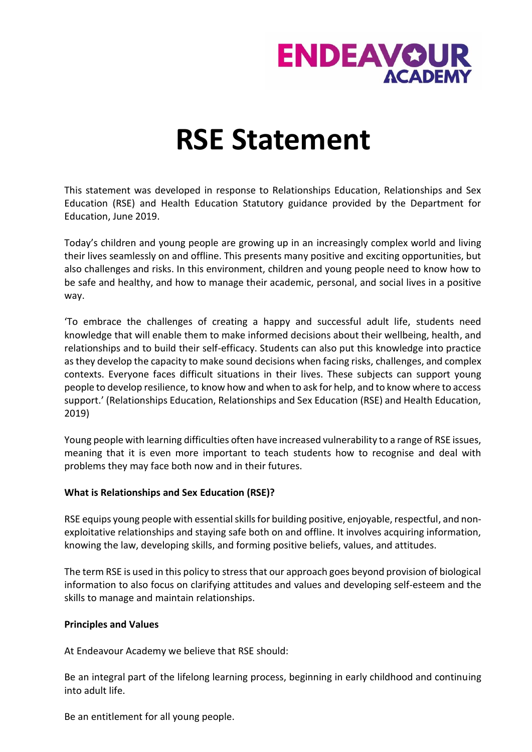

# **RSE Statement**

This statement was developed in response to Relationships Education, Relationships and Sex Education (RSE) and Health Education Statutory guidance provided by the Department for Education, June 2019.

Today's children and young people are growing up in an increasingly complex world and living their lives seamlessly on and offline. This presents many positive and exciting opportunities, but also challenges and risks. In this environment, children and young people need to know how to be safe and healthy, and how to manage their academic, personal, and social lives in a positive way.

'To embrace the challenges of creating a happy and successful adult life, students need knowledge that will enable them to make informed decisions about their wellbeing, health, and relationships and to build their self-efficacy. Students can also put this knowledge into practice as they develop the capacity to make sound decisions when facing risks, challenges, and complex contexts. Everyone faces difficult situations in their lives. These subjects can support young people to develop resilience, to know how and when to ask for help, and to know where to access support.' (Relationships Education, Relationships and Sex Education (RSE) and Health Education, 2019)

Young people with learning difficulties often have increased vulnerability to a range of RSE issues, meaning that it is even more important to teach students how to recognise and deal with problems they may face both now and in their futures.

### **What is Relationships and Sex Education (RSE)?**

RSE equips young people with essential skills for building positive, enjoyable, respectful, and nonexploitative relationships and staying safe both on and offline. It involves acquiring information, knowing the law, developing skills, and forming positive beliefs, values, and attitudes.

The term RSE is used in this policy to stress that our approach goes beyond provision of biological information to also focus on clarifying attitudes and values and developing self-esteem and the skills to manage and maintain relationships.

### **Principles and Values**

At Endeavour Academy we believe that RSE should:

Be an integral part of the lifelong learning process, beginning in early childhood and continuing into adult life.

Be an entitlement for all young people.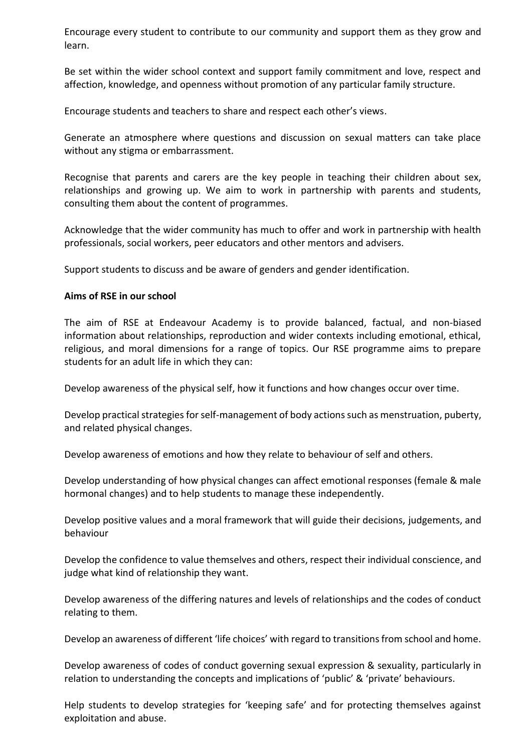Encourage every student to contribute to our community and support them as they grow and learn.

Be set within the wider school context and support family commitment and love, respect and affection, knowledge, and openness without promotion of any particular family structure.

Encourage students and teachers to share and respect each other's views.

Generate an atmosphere where questions and discussion on sexual matters can take place without any stigma or embarrassment.

Recognise that parents and carers are the key people in teaching their children about sex, relationships and growing up. We aim to work in partnership with parents and students, consulting them about the content of programmes.

Acknowledge that the wider community has much to offer and work in partnership with health professionals, social workers, peer educators and other mentors and advisers.

Support students to discuss and be aware of genders and gender identification.

# **Aims of RSE in our school**

The aim of RSE at Endeavour Academy is to provide balanced, factual, and non-biased information about relationships, reproduction and wider contexts including emotional, ethical, religious, and moral dimensions for a range of topics. Our RSE programme aims to prepare students for an adult life in which they can:

Develop awareness of the physical self, how it functions and how changes occur over time.

Develop practical strategies for self-management of body actions such as menstruation, puberty, and related physical changes.

Develop awareness of emotions and how they relate to behaviour of self and others.

Develop understanding of how physical changes can affect emotional responses (female & male hormonal changes) and to help students to manage these independently.

Develop positive values and a moral framework that will guide their decisions, judgements, and behaviour

Develop the confidence to value themselves and others, respect their individual conscience, and judge what kind of relationship they want.

Develop awareness of the differing natures and levels of relationships and the codes of conduct relating to them.

Develop an awareness of different 'life choices' with regard to transitions from school and home.

Develop awareness of codes of conduct governing sexual expression & sexuality, particularly in relation to understanding the concepts and implications of 'public' & 'private' behaviours.

Help students to develop strategies for 'keeping safe' and for protecting themselves against exploitation and abuse.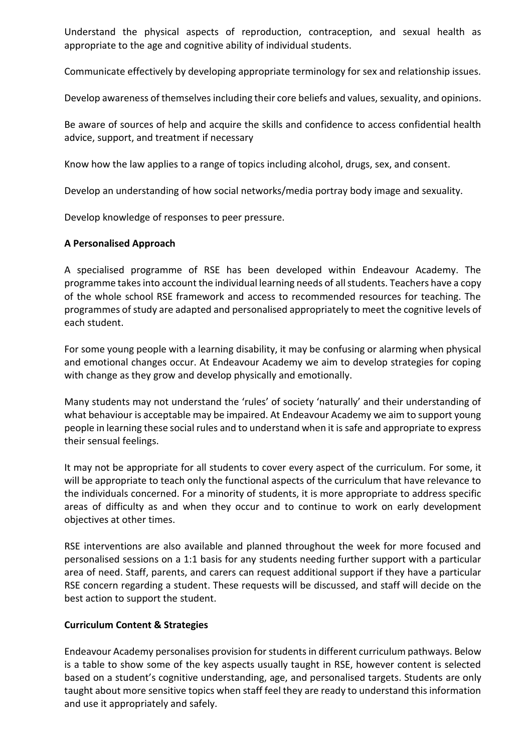Understand the physical aspects of reproduction, contraception, and sexual health as appropriate to the age and cognitive ability of individual students.

Communicate effectively by developing appropriate terminology for sex and relationship issues.

Develop awareness of themselves including their core beliefs and values, sexuality, and opinions.

Be aware of sources of help and acquire the skills and confidence to access confidential health advice, support, and treatment if necessary

Know how the law applies to a range of topics including alcohol, drugs, sex, and consent.

Develop an understanding of how social networks/media portray body image and sexuality.

Develop knowledge of responses to peer pressure.

# **A Personalised Approach**

A specialised programme of RSE has been developed within Endeavour Academy. The programme takes into account the individual learning needs of all students. Teachers have a copy of the whole school RSE framework and access to recommended resources for teaching. The programmes of study are adapted and personalised appropriately to meet the cognitive levels of each student.

For some young people with a learning disability, it may be confusing or alarming when physical and emotional changes occur. At Endeavour Academy we aim to develop strategies for coping with change as they grow and develop physically and emotionally.

Many students may not understand the 'rules' of society 'naturally' and their understanding of what behaviour is acceptable may be impaired. At Endeavour Academy we aim to support young people in learning these social rules and to understand when it is safe and appropriate to express their sensual feelings.

It may not be appropriate for all students to cover every aspect of the curriculum. For some, it will be appropriate to teach only the functional aspects of the curriculum that have relevance to the individuals concerned. For a minority of students, it is more appropriate to address specific areas of difficulty as and when they occur and to continue to work on early development objectives at other times.

RSE interventions are also available and planned throughout the week for more focused and personalised sessions on a 1:1 basis for any students needing further support with a particular area of need. Staff, parents, and carers can request additional support if they have a particular RSE concern regarding a student. These requests will be discussed, and staff will decide on the best action to support the student.

### **Curriculum Content & Strategies**

Endeavour Academy personalises provision for students in different curriculum pathways. Below is a table to show some of the key aspects usually taught in RSE, however content is selected based on a student's cognitive understanding, age, and personalised targets. Students are only taught about more sensitive topics when staff feel they are ready to understand this information and use it appropriately and safely.